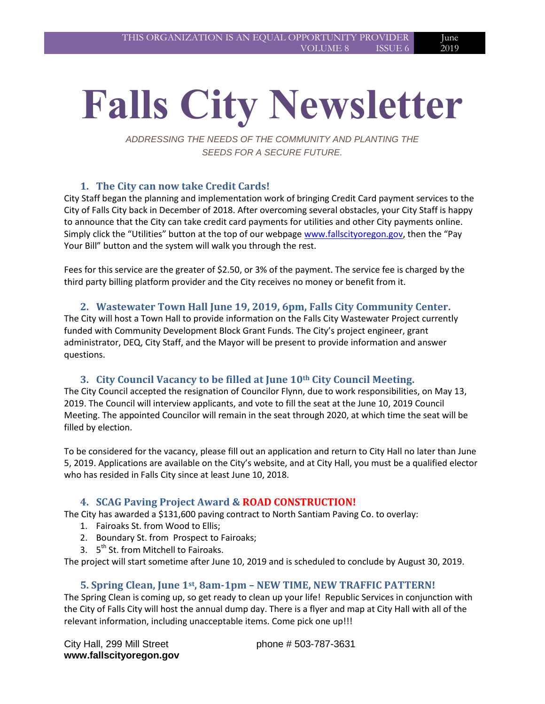# 2019

June

# **Falls City Newsletter**

*ADDRESSING THE NEEDS OF THE COMMUNITY AND PLANTING THE SEEDS FOR A SECURE FUTURE.*

# **1. The City can now take Credit Cards!**

City Staff began the planning and implementation work of bringing Credit Card payment services to the City of Falls City back in December of 2018. After overcoming several obstacles, your City Staff is happy to announce that the City can take credit card payments for utilities and other City payments online. Simply click the "Utilities" button at the top of our webpage [www.fallscityoregon.gov,](http://www.fallscityoregon.gov/) then the "Pay Your Bill" button and the system will walk you through the rest.

Fees for this service are the greater of \$2.50, or 3% of the payment. The service fee is charged by the third party billing platform provider and the City receives no money or benefit from it.

#### **2. Wastewater Town Hall June 19, 2019, 6pm, Falls City Community Center.**

The City will host a Town Hall to provide information on the Falls City Wastewater Project currently funded with Community Development Block Grant Funds. The City's project engineer, grant administrator, DEQ, City Staff, and the Mayor will be present to provide information and answer questions.

#### **3. City Council Vacancy to be filled at June 10th City Council Meeting.**

The City Council accepted the resignation of Councilor Flynn, due to work responsibilities, on May 13, 2019. The Council will interview applicants, and vote to fill the seat at the June 10, 2019 Council Meeting. The appointed Councilor will remain in the seat through 2020, at which time the seat will be filled by election.

To be considered for the vacancy, please fill out an application and return to City Hall no later than June 5, 2019. Applications are available on the City's website, and at City Hall, you must be a qualified elector who has resided in Falls City since at least June 10, 2018.

#### **4. SCAG Paving Project Award & ROAD CONSTRUCTION!**

The City has awarded a \$131,600 paving contract to North Santiam Paving Co. to overlay:

- 1. Fairoaks St. from Wood to Ellis;
- 2. Boundary St. from Prospect to Fairoaks;
- 3. 5<sup>th</sup> St. from Mitchell to Fairoaks.

The project will start sometime after June 10, 2019 and is scheduled to conclude by August 30, 2019.

#### **5. Spring Clean, June 1st, 8am-1pm – NEW TIME, NEW TRAFFIC PATTERN!**

The Spring Clean is coming up, so get ready to clean up your life! Republic Services in conjunction with the City of Falls City will host the annual dump day. There is a flyer and map at City Hall with all of the relevant information, including unacceptable items. Come pick one up!!!

phone # 503-787-3631